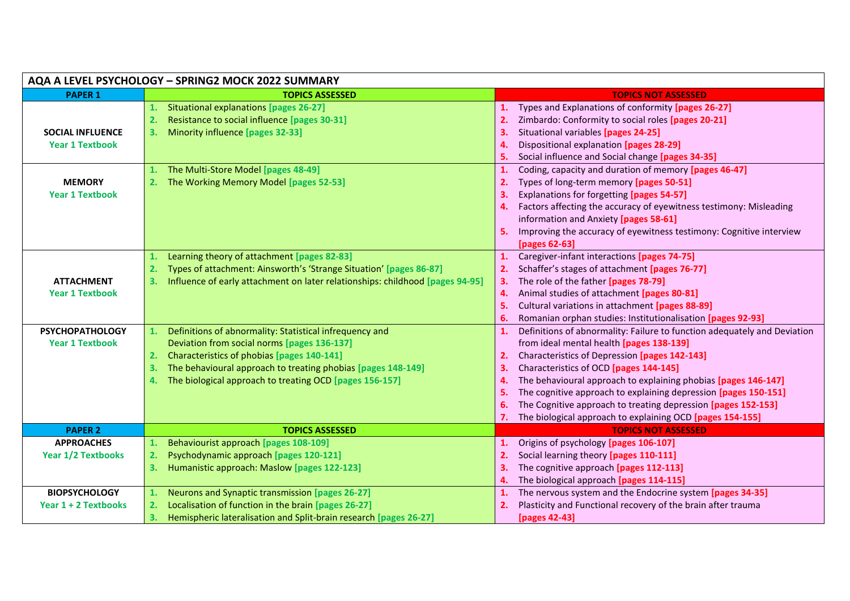| AQA A LEVEL PSYCHOLOGY - SPRING2 MOCK 2022 SUMMARY |                                                                                     |                                                                                |  |
|----------------------------------------------------|-------------------------------------------------------------------------------------|--------------------------------------------------------------------------------|--|
| <b>PAPER 1</b>                                     | <b>TOPICS ASSESSED</b>                                                              | <b>TOPICS NOT ASSESSED</b>                                                     |  |
|                                                    | Situational explanations [pages 26-27]<br>1.                                        | Types and Explanations of conformity [pages 26-27]<br>1.                       |  |
|                                                    | Resistance to social influence [pages 30-31]<br>2.                                  | 2.<br>Zimbardo: Conformity to social roles [pages 20-21]                       |  |
| <b>SOCIAL INFLUENCE</b>                            | Minority influence [pages 32-33]<br>3.                                              | Situational variables [pages 24-25]<br>3.                                      |  |
| <b>Year 1 Textbook</b>                             |                                                                                     | Dispositional explanation [pages 28-29]<br>4.                                  |  |
|                                                    |                                                                                     | Social influence and Social change [pages 34-35]<br>5.                         |  |
|                                                    | The Multi-Store Model [pages 48-49]<br>1.                                           | Coding, capacity and duration of memory [pages 46-47]<br>1.                    |  |
| <b>MEMORY</b>                                      | The Working Memory Model [pages 52-53]<br>2.                                        | Types of long-term memory [pages 50-51]<br>2.                                  |  |
| <b>Year 1 Textbook</b>                             |                                                                                     | Explanations for forgetting [pages 54-57]<br>З.                                |  |
|                                                    |                                                                                     | Factors affecting the accuracy of eyewitness testimony: Misleading<br>4.       |  |
|                                                    |                                                                                     | information and Anxiety [pages 58-61]                                          |  |
|                                                    |                                                                                     | Improving the accuracy of eyewitness testimony: Cognitive interview<br>5.      |  |
|                                                    |                                                                                     | [pages 62-63]                                                                  |  |
|                                                    | Learning theory of attachment [pages 82-83]<br>1.                                   | Caregiver-infant interactions [pages 74-75]<br>1.                              |  |
|                                                    | Types of attachment: Ainsworth's 'Strange Situation' [pages 86-87]<br>2.            | 2.<br>Schaffer's stages of attachment [pages 76-77]                            |  |
| <b>ATTACHMENT</b>                                  | Influence of early attachment on later relationships: childhood [pages 94-95]<br>3. | The role of the father [pages 78-79]<br>3.                                     |  |
| <b>Year 1 Textbook</b>                             |                                                                                     | Animal studies of attachment [pages 80-81]<br>4.                               |  |
|                                                    |                                                                                     | Cultural variations in attachment [pages 88-89]<br>5.                          |  |
|                                                    |                                                                                     | Romanian orphan studies: Institutionalisation [pages 92-93]<br>6.              |  |
| <b>PSYCHOPATHOLOGY</b>                             | Definitions of abnormality: Statistical infrequency and<br>1.                       | Definitions of abnormality: Failure to function adequately and Deviation<br>1. |  |
| <b>Year 1 Textbook</b>                             | Deviation from social norms [pages 136-137]                                         | from ideal mental health [pages 138-139]                                       |  |
|                                                    | Characteristics of phobias [pages 140-141]<br>2.                                    | Characteristics of Depression [pages 142-143]<br>2.                            |  |
|                                                    | The behavioural approach to treating phobias [pages 148-149]<br>3.                  | Characteristics of OCD [pages 144-145]<br>з.                                   |  |
|                                                    | The biological approach to treating OCD [pages 156-157]<br>4.                       | The behavioural approach to explaining phobias [pages 146-147]                 |  |
|                                                    |                                                                                     | The cognitive approach to explaining depression [pages 150-151]                |  |
|                                                    |                                                                                     | The Cognitive approach to treating depression [pages 152-153]<br>6.            |  |
|                                                    |                                                                                     | The biological approach to explaining OCD [pages 154-155]                      |  |
| <b>PAPER 2</b>                                     | <b>TOPICS ASSESSED</b>                                                              | <b>TOPICS NOT ASSESSED</b>                                                     |  |
| <b>APPROACHES</b>                                  | Behaviourist approach [pages 108-109]<br>1.                                         | Origins of psychology [pages 106-107]<br>1.                                    |  |
| <b>Year 1/2 Textbooks</b>                          | Psychodynamic approach [pages 120-121]<br>2.                                        | Social learning theory [pages 110-111]<br>2.                                   |  |
|                                                    | Humanistic approach: Maslow [pages 122-123]<br>3.                                   | The cognitive approach [pages 112-113]<br>3.                                   |  |
|                                                    |                                                                                     | The biological approach [pages 114-115]<br>4.                                  |  |
| <b>BIOPSYCHOLOGY</b>                               | Neurons and Synaptic transmission [pages 26-27]<br>1.                               | The nervous system and the Endocrine system [pages 34-35]<br>1.                |  |
| Year 1 + 2 Textbooks                               | Localisation of function in the brain [pages 26-27]<br>2.                           | Plasticity and Functional recovery of the brain after trauma<br>2.             |  |
|                                                    | Hemispheric lateralisation and Split-brain research [pages 26-27]<br>3.             | [pages 42-43]                                                                  |  |